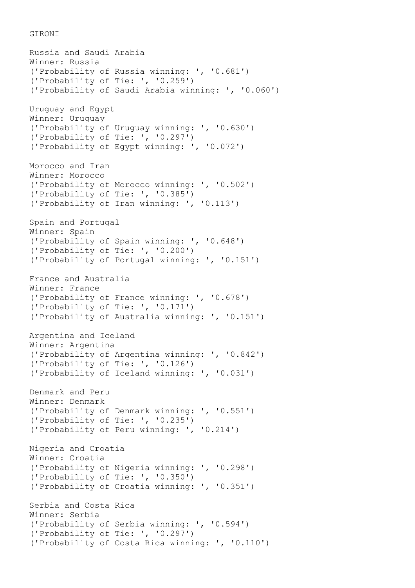GIRONI

Russia and Saudi Arabia Winner: Russia ('Probability of Russia winning: ', '0.681') ('Probability of Tie: ', '0.259') ('Probability of Saudi Arabia winning: ', '0.060') Uruguay and Egypt Winner: Uruguay ('Probability of Uruguay winning: ', '0.630') ('Probability of Tie: ', '0.297') ('Probability of Egypt winning: ', '0.072') Morocco and Iran Winner: Morocco ('Probability of Morocco winning: ', '0.502') ('Probability of Tie: ', '0.385') ('Probability of Iran winning: ', '0.113') Spain and Portugal Winner: Spain ('Probability of Spain winning: ', '0.648') ('Probability of Tie: ', '0.200') ('Probability of Portugal winning: ', '0.151') France and Australia Winner: France ('Probability of France winning: ', '0.678') ('Probability of Tie: ', '0.171') ('Probability of Australia winning: ', '0.151') Argentina and Iceland Winner: Argentina ('Probability of Argentina winning: ', '0.842') ('Probability of Tie: ', '0.126') ('Probability of Iceland winning: ', '0.031') Denmark and Peru Winner: Denmark ('Probability of Denmark winning: ', '0.551') ('Probability of Tie: ', '0.235') ('Probability of Peru winning: ', '0.214') Nigeria and Croatia Winner: Croatia ('Probability of Nigeria winning: ', '0.298') ('Probability of Tie: ', '0.350') ('Probability of Croatia winning: ', '0.351') Serbia and Costa Rica Winner: Serbia ('Probability of Serbia winning: ', '0.594') ('Probability of Tie: ', '0.297') ('Probability of Costa Rica winning: ', '0.110')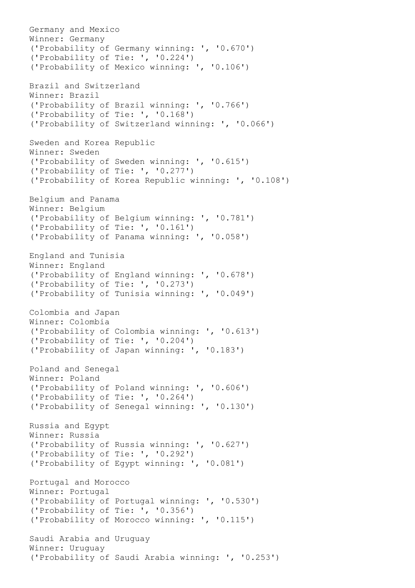Germany and Mexico Winner: Germany ('Probability of Germany winning: ', '0.670') ('Probability of Tie: ', '0.224') ('Probability of Mexico winning: ', '0.106') Brazil and Switzerland Winner: Brazil ('Probability of Brazil winning: ', '0.766') ('Probability of Tie: ', '0.168') ('Probability of Switzerland winning: ', '0.066') Sweden and Korea Republic Winner: Sweden ('Probability of Sweden winning: ', '0.615') ('Probability of Tie: ', '0.277') ('Probability of Korea Republic winning: ', '0.108') Belgium and Panama Winner: Belgium ('Probability of Belgium winning: ', '0.781') ('Probability of Tie: ', '0.161') ('Probability of Panama winning: ', '0.058') England and Tunisia Winner: England ('Probability of England winning: ', '0.678') ('Probability of Tie: ', '0.273') ('Probability of Tunisia winning: ', '0.049') Colombia and Japan Winner: Colombia ('Probability of Colombia winning: ', '0.613') ('Probability of Tie: ', '0.204') ('Probability of Japan winning: ', '0.183') Poland and Senegal Winner: Poland ('Probability of Poland winning: ', '0.606') ('Probability of Tie: ', '0.264') ('Probability of Senegal winning: ', '0.130') Russia and Egypt Winner: Russia ('Probability of Russia winning: ', '0.627') ('Probability of Tie: ', '0.292') ('Probability of Egypt winning: ', '0.081') Portugal and Morocco Winner: Portugal ('Probability of Portugal winning: ', '0.530') ('Probability of Tie: ', '0.356') ('Probability of Morocco winning: ', '0.115') Saudi Arabia and Uruguay Winner: Uruguay ('Probability of Saudi Arabia winning: ', '0.253')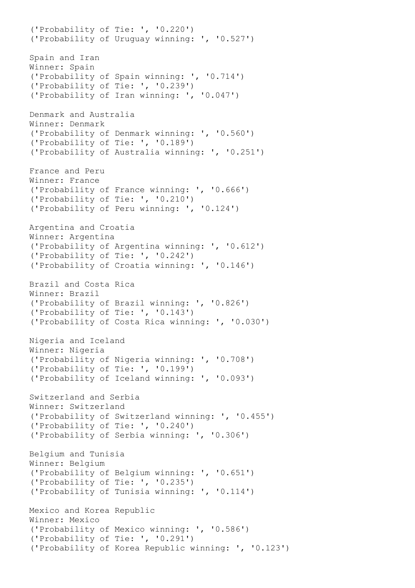('Probability of Tie: ', '0.220') ('Probability of Uruguay winning: ', '0.527') Spain and Iran Winner: Spain ('Probability of Spain winning: ', '0.714') ('Probability of Tie: ', '0.239') ('Probability of Iran winning: ', '0.047') Denmark and Australia Winner: Denmark ('Probability of Denmark winning: ', '0.560') ('Probability of Tie: ', '0.189') ('Probability of Australia winning: ', '0.251') France and Peru Winner: France ('Probability of France winning: ', '0.666') ('Probability of Tie: ', '0.210') ('Probability of Peru winning: ', '0.124') Argentina and Croatia Winner: Argentina ('Probability of Argentina winning: ', '0.612') ('Probability of Tie: ', '0.242') ('Probability of Croatia winning: ', '0.146') Brazil and Costa Rica Winner: Brazil ('Probability of Brazil winning: ', '0.826') ('Probability of Tie: ', '0.143') ('Probability of Costa Rica winning: ', '0.030') Nigeria and Iceland Winner: Nigeria ('Probability of Nigeria winning: ', '0.708') ('Probability of Tie: ', '0.199') ('Probability of Iceland winning: ', '0.093') Switzerland and Serbia Winner: Switzerland ('Probability of Switzerland winning: ', '0.455') ('Probability of Tie: ', '0.240') ('Probability of Serbia winning: ', '0.306') Belgium and Tunisia Winner: Belgium ('Probability of Belgium winning: ', '0.651') ('Probability of Tie: ', '0.235') ('Probability of Tunisia winning: ', '0.114') Mexico and Korea Republic Winner: Mexico ('Probability of Mexico winning: ', '0.586') ('Probability of Tie: ', '0.291') ('Probability of Korea Republic winning: ', '0.123')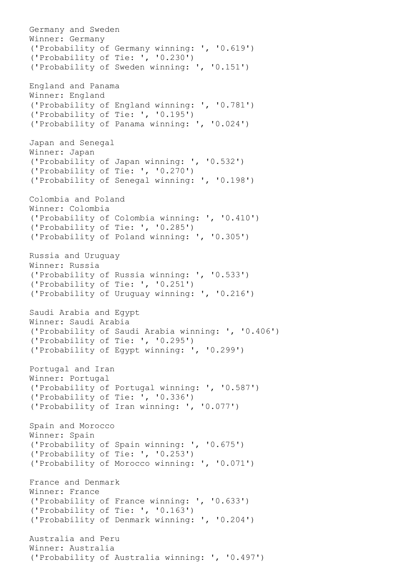Germany and Sweden Winner: Germany ('Probability of Germany winning: ', '0.619') ('Probability of Tie: ', '0.230') ('Probability of Sweden winning: ', '0.151') England and Panama Winner: England ('Probability of England winning: ', '0.781') ('Probability of Tie: ', '0.195') ('Probability of Panama winning: ', '0.024') Japan and Senegal Winner: Japan ('Probability of Japan winning: ', '0.532') ('Probability of Tie: ', '0.270') ('Probability of Senegal winning: ', '0.198') Colombia and Poland Winner: Colombia ('Probability of Colombia winning: ', '0.410') ('Probability of Tie: ', '0.285') ('Probability of Poland winning: ', '0.305') Russia and Uruguay Winner: Russia ('Probability of Russia winning: ', '0.533') ('Probability of Tie: ', '0.251') ('Probability of Uruguay winning: ', '0.216') Saudi Arabia and Egypt Winner: Saudi Arabia ('Probability of Saudi Arabia winning: ', '0.406') ('Probability of Tie: ', '0.295') ('Probability of Egypt winning: ', '0.299') Portugal and Iran Winner: Portugal ('Probability of Portugal winning: ', '0.587') ('Probability of Tie: ', '0.336') ('Probability of Iran winning: ', '0.077') Spain and Morocco Winner: Spain ('Probability of Spain winning: ', '0.675') ('Probability of Tie: ', '0.253') ('Probability of Morocco winning: ', '0.071') France and Denmark Winner: France ('Probability of France winning: ', '0.633') ('Probability of Tie: ', '0.163') ('Probability of Denmark winning: ', '0.204') Australia and Peru Winner: Australia ('Probability of Australia winning: ', '0.497')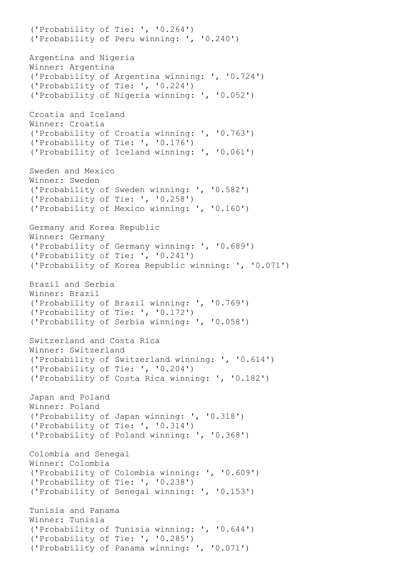('Probability of Tie: ', '0.264') ('Probability of Peru winning: ', '0.240') Argentina and Nigeria Winner: Argentina ('Probability of Argentina winning: ', '0.724') ('Probability of Tie: ', '0.224') ('Probability of Nigeria winning: ', '0.052') Croatia and Iceland Winner: Croatia ('Probability of Croatia winning: ', '0.763') ('Probability of Tie: ', '0.176') ('Probability of Iceland winning: ', '0.061') Sweden and Mexico Winner: Sweden ('Probability of Sweden winning: ', '0.582') ('Probability of Tie: ', '0.258') ('Probability of Mexico winning: ', '0.160') Germany and Korea Republic Winner: Germany ('Probability of Germany winning: ', '0.689') ('Probability of Tie: ', '0.241') ('Probability of Korea Republic winning: ', '0.071') Brazil and Serbia Winner: Brazil ('Probability of Brazil winning: ', '0.769') ('Probability of Tie: ', '0.172') ('Probability of Serbia winning: ', '0.058') Switzerland and Costa Rica Winner: Switzerland ('Probability of Switzerland winning: ', '0.614') ('Probability of Tie: ', '0.204') ('Probability of Costa Rica winning: ', '0.182') Japan and Poland Winner: Poland ('Probability of Japan winning: ', '0.318') ('Probability of Tie: ', '0.314') ('Probability of Poland winning: ', '0.368') Colombia and Senegal Winner: Colombia ('Probability of Colombia winning: ', '0.609') ('Probability of Tie: ', '0.238') ('Probability of Senegal winning: ', '0.153') Tunisia and Panama Winner: Tunisia ('Probability of Tunisia winning: ', '0.644') ('Probability of Tie: ', '0.285') ('Probability of Panama winning: ', '0.071')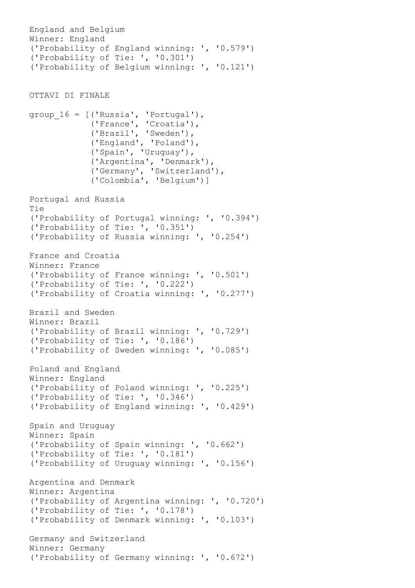```
England and Belgium
Winner: England
('Probability of England winning: ', '0.579')
('Probability of Tie: ', '0.301')
('Probability of Belgium winning: ', '0.121')
OTTAVI DI FINALE
group_16 = [('Russia', 'Portugal'),
             ('France', 'Croatia'),
             ('Brazil', 'Sweden'),
             ('England', 'Poland'),
             ('Spain', 'Uruguay'),
             ('Argentina', 'Denmark'),
             ('Germany', 'Switzerland'),
             ('Colombia', 'Belgium')]
Portugal and Russia
Tie
('Probability of Portugal winning: ', '0.394')
('Probability of Tie: ', '0.351')
('Probability of Russia winning: ', '0.254')
France and Croatia
Winner: France
('Probability of France winning: ', '0.501')
('Probability of Tie: ', '0.222')
('Probability of Croatia winning: ', '0.277')
Brazil and Sweden
Winner: Brazil
('Probability of Brazil winning: ', '0.729')
('Probability of Tie: ', '0.186')
('Probability of Sweden winning: ', '0.085')
Poland and England
Winner: England
('Probability of Poland winning: ', '0.225')
('Probability of Tie: ', '0.346')
('Probability of England winning: ', '0.429')
Spain and Uruguay
Winner: Spain
('Probability of Spain winning: ', '0.662')
('Probability of Tie: ', '0.181')
('Probability of Uruguay winning: ', '0.156')
Argentina and Denmark
Winner: Argentina
('Probability of Argentina winning: ', '0.720')
('Probability of Tie: ', '0.178')
('Probability of Denmark winning: ', '0.103')
Germany and Switzerland
Winner: Germany
('Probability of Germany winning: ', '0.672')
```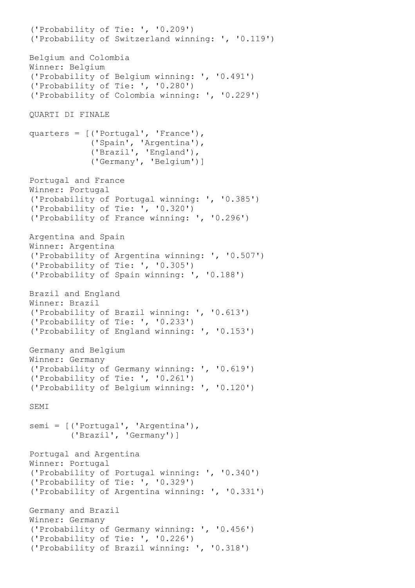('Probability of Tie: ', '0.209') ('Probability of Switzerland winning: ', '0.119') Belgium and Colombia Winner: Belgium ('Probability of Belgium winning: ', '0.491') ('Probability of Tie: ', '0.280') ('Probability of Colombia winning: ', '0.229') QUARTI DI FINALE quarters = [('Portugal', 'France'), ('Spain', 'Argentina'), ('Brazil', 'England'), ('Germany', 'Belgium')] Portugal and France Winner: Portugal ('Probability of Portugal winning: ', '0.385') ('Probability of Tie: ', '0.320') ('Probability of France winning: ', '0.296') Argentina and Spain Winner: Argentina ('Probability of Argentina winning: ', '0.507') ('Probability of Tie: ', '0.305') ('Probability of Spain winning: ', '0.188') Brazil and England Winner: Brazil ('Probability of Brazil winning: ', '0.613') ('Probability of Tie: ', '0.233') ('Probability of England winning: ', '0.153') Germany and Belgium Winner: Germany ('Probability of Germany winning: ', '0.619') ('Probability of Tie: ', '0.261') ('Probability of Belgium winning: ', '0.120') SEMI semi = [('Portugal', 'Argentina'), ('Brazil', 'Germany')] Portugal and Argentina Winner: Portugal ('Probability of Portugal winning: ', '0.340') ('Probability of Tie: ', '0.329') ('Probability of Argentina winning: ', '0.331') Germany and Brazil Winner: Germany ('Probability of Germany winning: ', '0.456') ('Probability of Tie: ', '0.226') ('Probability of Brazil winning: ', '0.318')